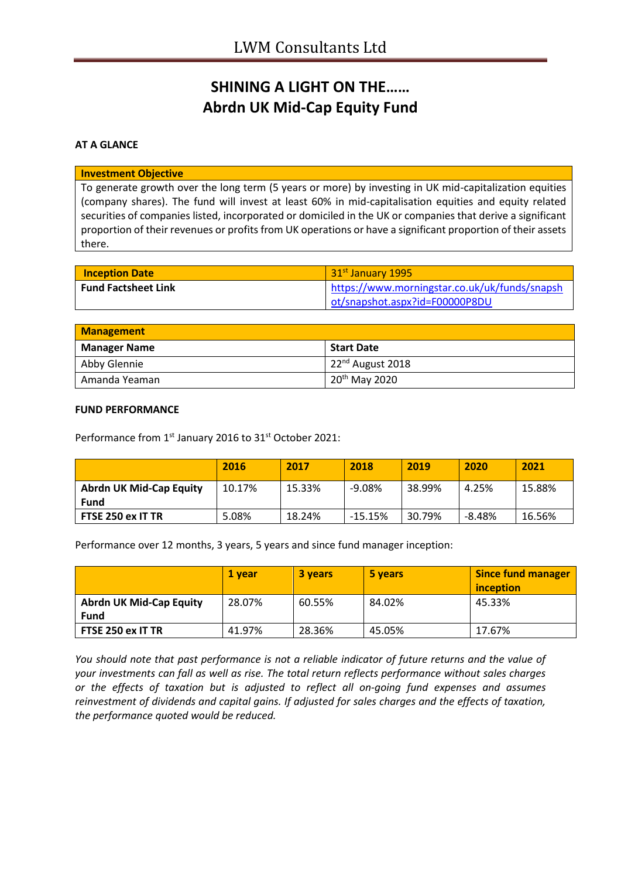# **SHINING A LIGHT ON THE…… Abrdn UK Mid-Cap Equity Fund**

## **AT A GLANCE**

#### **Investment Objective**

To generate growth over the long term (5 years or more) by investing in UK mid-capitalization equities (company shares). The fund will invest at least 60% in mid-capitalisation equities and equity related securities of companies listed, incorporated or domiciled in the UK or companies that derive a significant proportion of their revenues or profits from UK operations or have a significant proportion of their assets there.

| <b>Inception Date</b>      | 31 <sup>st</sup> January 1995                 |
|----------------------------|-----------------------------------------------|
| <b>Fund Factsheet Link</b> | https://www.morningstar.co.uk/uk/funds/snapsh |
|                            | ot/snapshot.aspx?id=F00000P8DU                |

| <b>Management</b>   |                               |
|---------------------|-------------------------------|
| <b>Manager Name</b> | <b>Start Date</b>             |
| Abby Glennie        | 122 <sup>nd</sup> August 2018 |
| Amanda Yeaman       | 20 <sup>th</sup> May 2020     |

#### **FUND PERFORMANCE**

Performance from 1<sup>st</sup> January 2016 to 31<sup>st</sup> October 2021:

|                                        | 2016   | 2017   | 2018      | 2019   | 2020   | 2021   |
|----------------------------------------|--------|--------|-----------|--------|--------|--------|
| <b>Abrdn UK Mid-Cap Equity</b><br>Fund | 10.17% | 15.33% | $-9.08%$  | 38.99% | 4.25%  | 15.88% |
| FTSE 250 ex IT TR                      | 5.08%  | 18.24% | $-15.15%$ | 30.79% | -8.48% | 16.56% |

Performance over 12 months, 3 years, 5 years and since fund manager inception:

|                                | 1 vear | 3 years | 5 years | <b>Since fund manager</b><br>inception |
|--------------------------------|--------|---------|---------|----------------------------------------|
| <b>Abrdn UK Mid-Cap Equity</b> | 28.07% | 60.55%  | 84.02%  | 45.33%                                 |
| Fund                           |        |         |         |                                        |
| FTSE 250 ex IT TR              | 41.97% | 28.36%  | 45.05%  | 17.67%                                 |

*You should note that past performance is not a reliable indicator of future returns and the value of your investments can fall as well as rise. The total return reflects performance without sales charges or the effects of taxation but is adjusted to reflect all on-going fund expenses and assumes reinvestment of dividends and capital gains. If adjusted for sales charges and the effects of taxation, the performance quoted would be reduced.*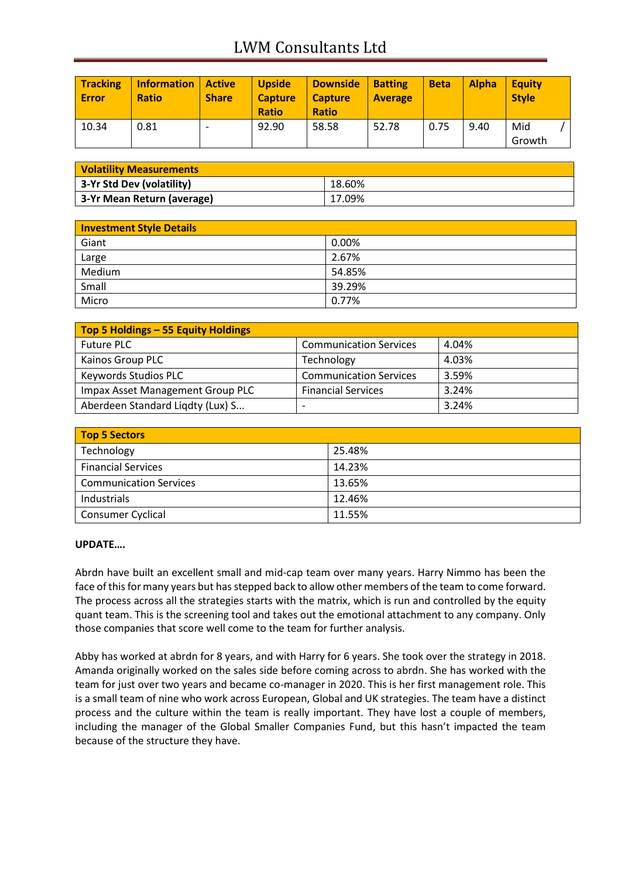## LWM Consultants Ltd

| <b>Tracking</b><br>Error | <b>Information</b><br><b>Ratio</b> | Active<br><b>Share</b> | <b>Upside</b><br><b>Capture</b><br><b>Ratio</b> | <b>Downside</b><br><b>Capture</b><br><b>Ratio</b> | <b>Batting</b><br><b>Average</b> | <b>Beta</b> | <b>Alpha</b> | <b>Equity</b><br><b>Style</b> |
|--------------------------|------------------------------------|------------------------|-------------------------------------------------|---------------------------------------------------|----------------------------------|-------------|--------------|-------------------------------|
| 10.34                    | 0.81                               |                        | 92.90                                           | 58.58                                             | 52.78                            | 0.75        | 9.40         | Mid<br>Growth                 |

| <b>Volatility Measurements</b> |        |  |
|--------------------------------|--------|--|
| 3-Yr Std Dev (volatility)      | 18.60% |  |
| 3-Yr Mean Return (average)     | 17.09% |  |

| <b>Investment Style Details</b> |        |
|---------------------------------|--------|
| Giant                           | 0.00%  |
| Large                           | 2.67%  |
| Medium                          | 54.85% |
| Small                           | 39.29% |
| Micro                           | 0.77%  |

| Top 5 Holdings - 55 Equity Holdings |                               |       |
|-------------------------------------|-------------------------------|-------|
| <b>Future PLC</b>                   | <b>Communication Services</b> | 4.04% |
| Kainos Group PLC                    | Technology                    | 4.03% |
| <b>Keywords Studios PLC</b>         | <b>Communication Services</b> | 3.59% |
| Impax Asset Management Group PLC    | <b>Financial Services</b>     | 3.24% |
| Aberdeen Standard Ligdty (Lux) S    | $\overline{\phantom{0}}$      | 3.24% |

| <b>Top 5 Sectors</b>          |        |
|-------------------------------|--------|
| Technology                    | 25.48% |
| <b>Financial Services</b>     | 14.23% |
| <b>Communication Services</b> | 13.65% |
| Industrials                   | 12.46% |
| <b>Consumer Cyclical</b>      | 11.55% |

## **UPDATE….**

Abrdn have built an excellent small and mid-cap team over many years. Harry Nimmo has been the face of this for many years but has stepped back to allow other members of the team to come forward. The process across all the strategies starts with the matrix, which is run and controlled by the equity quant team. This is the screening tool and takes out the emotional attachment to any company. Only those companies that score well come to the team for further analysis.

Abby has worked at abrdn for 8 years, and with Harry for 6 years. She took over the strategy in 2018. Amanda originally worked on the sales side before coming across to abrdn. She has worked with the team for just over two years and became co-manager in 2020. This is her first management role. This is a small team of nine who work across European, Global and UK strategies. The team have a distinct process and the culture within the team is really important. They have lost a couple of members, including the manager of the Global Smaller Companies Fund, but this hasn't impacted the team because of the structure they have.